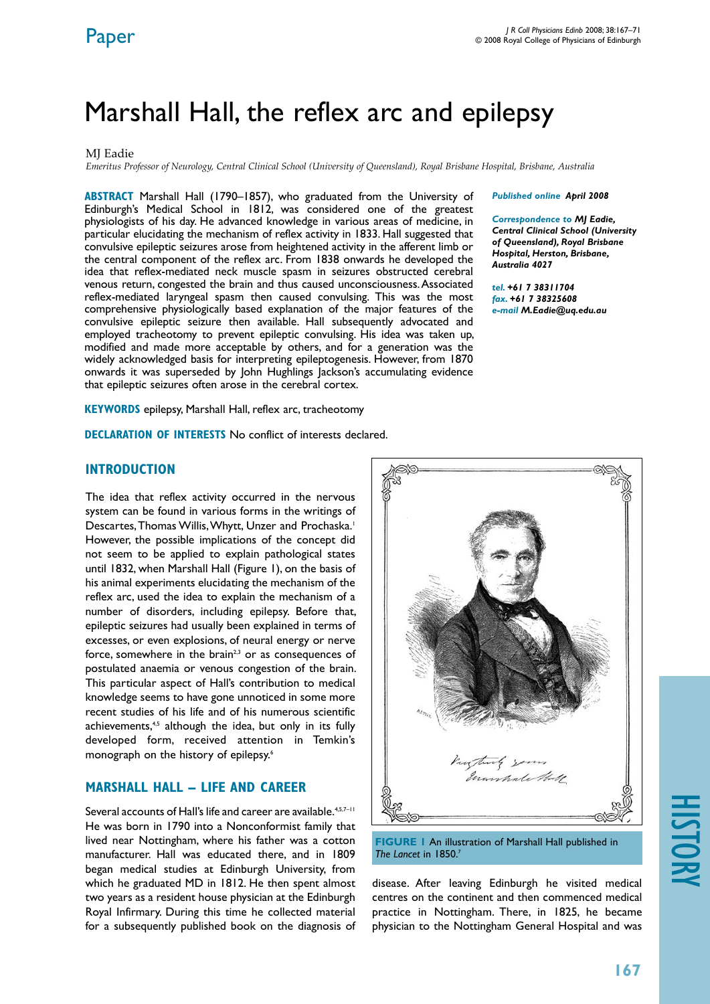# Marshall Hall, the reflex arc and epilepsy

### MI Eadie

*Emeritus Professor of Neurology, Central Clinical School (University of Queensland), Royal Brisbane Hospital, Brisbane, Australia*

**ABSTRACT** Marshall Hall (1790–1857), who graduated from the University of Edinburgh's Medical School in 1812, was considered one of the greatest physiologists of his day. He advanced knowledge in various areas of medicine, in particular elucidating the mechanism of reflex activity in 1833. Hall suggested that convulsive epileptic seizures arose from heightened activity in the afferent limb or the central component of the reflex arc. From 1838 onwards he developed the idea that reflex-mediated neck muscle spasm in seizures obstructed cerebral venous return, congested the brain and thus caused unconsciousness. Associated reflex-mediated laryngeal spasm then caused convulsing. This was the most comprehensive physiologically based explanation of the major features of the convulsive epileptic seizure then available. Hall subsequently advocated and employed tracheotomy to prevent epileptic convulsing. His idea was taken up, modified and made more acceptable by others, and for a generation was the widely acknowledged basis for interpreting epileptogenesis. However, from 1870 onwards it was superseded by John Hughlings Jackson's accumulating evidence that epileptic seizures often arose in the cerebral cortex.

**KEYWORDS** epilepsy, Marshall Hall, reflex arc, tracheotomy

**DECLARATION OF INTERESTS No conflict of interests declared.** 

#### *Published online April 2008*

*Correspondence to MJ Eadie, Central Clinical School (University of Queensland), Royal Brisbane Hospital, Herston, Brisbane, Australia 4027*

*tel. +61 7 38311704 fax. +61 7 38325608 e-mail M.Eadie@uq.edu.au*

### **introduction**

The idea that reflex activity occurred in the nervous system can be found in various forms in the writings of Descartes, Thomas Willis, Whytt, Unzer and Prochaska.<sup>1</sup> However, the possible implications of the concept did not seem to be applied to explain pathological states until 1832, when Marshall Hall (Figure 1), on the basis of his animal experiments elucidating the mechanism of the reflex arc, used the idea to explain the mechanism of a number of disorders, including epilepsy. Before that, epileptic seizures had usually been explained in terms of excesses, or even explosions, of neural energy or nerve force, somewhere in the brain<sup>2,3</sup> or as consequences of postulated anaemia or venous congestion of the brain. This particular aspect of Hall's contribution to medical knowledge seems to have gone unnoticed in some more recent studies of his life and of his numerous scientific achievements,<sup>4,5</sup> although the idea, but only in its fully developed form, received attention in Temkin's monograph on the history of epilepsy.6

### **Marshall Hall – life and career**

Several accounts of Hall's life and career are available.<sup>4,5,7-11</sup> He was born in 1790 into a Nonconformist family that lived near Nottingham, where his father was a cotton manufacturer. Hall was educated there, and in 1809 began medical studies at Edinburgh University, from which he graduated MD in 1812. He then spent almost two years as a resident house physician at the Edinburgh Royal Infirmary. During this time he collected material for a subsequently published book on the diagnosis of



**FIGURE 1** An illustration of Marshall Hall published in *The Lancet* in 1850.7

disease. After leaving Edinburgh he visited medical centres on the continent and then commenced medical practice in Nottingham. There, in 1825, he became physician to the Nottingham General Hospital and was

# history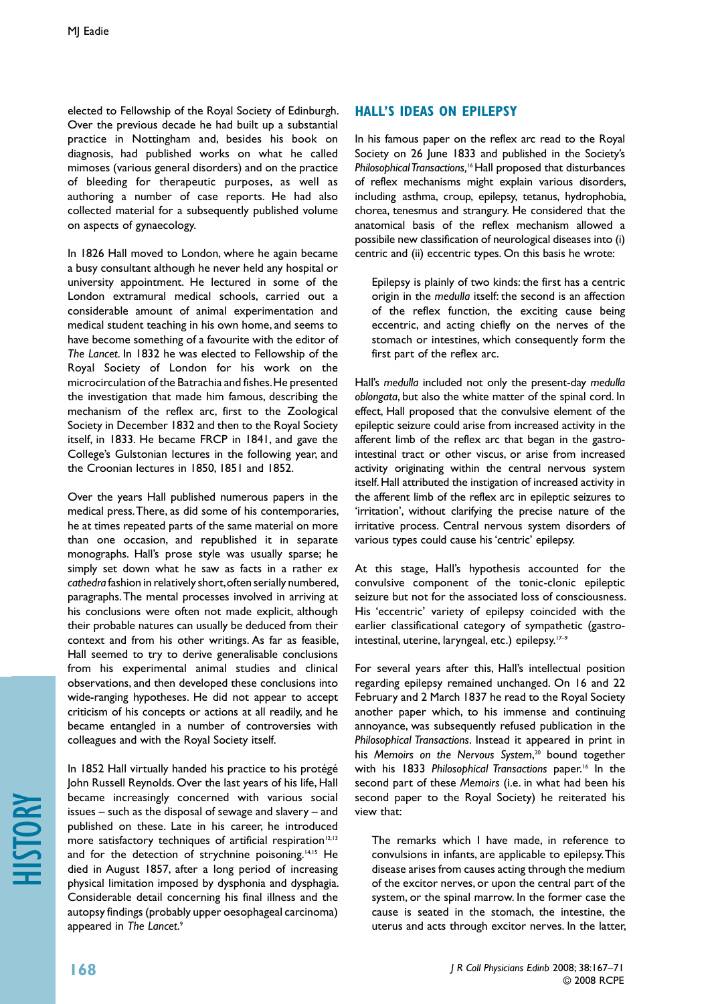elected to Fellowship of the Royal Society of Edinburgh. Over the previous decade he had built up a substantial practice in Nottingham and, besides his book on diagnosis, had published works on what he called mimoses (various general disorders) and on the practice of bleeding for therapeutic purposes, as well as authoring a number of case reports. He had also collected material for a subsequently published volume on aspects of gynaecology.

In 1826 Hall moved to London, where he again became a busy consultant although he never held any hospital or university appointment. He lectured in some of the London extramural medical schools, carried out a considerable amount of animal experimentation and medical student teaching in his own home, and seems to have become something of a favourite with the editor of *The Lancet*. In 1832 he was elected to Fellowship of the Royal Society of London for his work on the microcirculation of the Batrachia and fishes. He presented the investigation that made him famous, describing the mechanism of the reflex arc, first to the Zoological Society in December 1832 and then to the Royal Society itself, in 1833. He became FRCP in 1841, and gave the College's Gulstonian lectures in the following year, and the Croonian lectures in 1850, 1851 and 1852.

Over the years Hall published numerous papers in the medical press. There, as did some of his contemporaries, he at times repeated parts of the same material on more than one occasion, and republished it in separate monographs. Hall's prose style was usually sparse; he simply set down what he saw as facts in a rather *ex cathedra* fashion in relatively short, often serially numbered, paragraphs. The mental processes involved in arriving at his conclusions were often not made explicit, although their probable natures can usually be deduced from their context and from his other writings. As far as feasible, Hall seemed to try to derive generalisable conclusions from his experimental animal studies and clinical observations, and then developed these conclusions into wide-ranging hypotheses. He did not appear to accept criticism of his concepts or actions at all readily, and he became entangled in a number of controversies with colleagues and with the Royal Society itself.

In 1852 Hall virtually handed his practice to his protégé John Russell Reynolds. Over the last years of his life, Hall became increasingly concerned with various social issues – such as the disposal of sewage and slavery – and published on these. Late in his career, he introduced more satisfactory techniques of artificial respiration $12,13$ and for the detection of strychnine poisoning.<sup>14,15</sup> He died in August 1857, after a long period of increasing physical limitation imposed by dysphonia and dysphagia. Considerable detail concerning his final illness and the autopsy findings (probably upper oesophageal carcinoma) appeared in *The Lancet*. 9

## **Hall's ideas on epilepsy**

In his famous paper on the reflex arc read to the Royal Society on 26 June 1833 and published in the Society's *Philosophical Transactions,*16 Hall proposed that disturbances of reflex mechanisms might explain various disorders, including asthma, croup, epilepsy, tetanus, hydrophobia, chorea, tenesmus and strangury. He considered that the anatomical basis of the reflex mechanism allowed a possibile new classification of neurological diseases into (i) centric and (ii) eccentric types. On this basis he wrote:

Epilepsy is plainly of two kinds: the first has a centric origin in the *medulla* itself: the second is an affection of the reflex function, the exciting cause being eccentric, and acting chiefly on the nerves of the stomach or intestines, which consequently form the first part of the reflex arc.

Hall's *medulla* included not only the present-day *medulla oblongata*, but also the white matter of the spinal cord. In effect, Hall proposed that the convulsive element of the epileptic seizure could arise from increased activity in the afferent limb of the reflex arc that began in the gastrointestinal tract or other viscus, or arise from increased activity originating within the central nervous system itself. Hall attributed the instigation of increased activity in the afferent limb of the reflex arc in epileptic seizures to 'irritation', without clarifying the precise nature of the irritative process. Central nervous system disorders of various types could cause his 'centric' epilepsy.

At this stage, Hall's hypothesis accounted for the convulsive component of the tonic-clonic epileptic seizure but not for the associated loss of consciousness. His 'eccentric' variety of epilepsy coincided with the earlier classificational category of sympathetic (gastrointestinal, uterine, laryngeal, etc.) epilepsy.<sup>17-9</sup>

For several years after this, Hall's intellectual position regarding epilepsy remained unchanged. On 16 and 22 February and 2 March 1837 he read to the Royal Society another paper which, to his immense and continuing annoyance, was subsequently refused publication in the *Philosophical Transactions*. Instead it appeared in print in his *Memoirs on the Nervous System*, 20 bound together with his 1833 *Philosophical Transactions* paper.16 In the second part of these *Memoirs* (i.e. in what had been his second paper to the Royal Society) he reiterated his view that:

The remarks which I have made, in reference to convulsions in infants, are applicable to epilepsy. This disease arises from causes acting through the medium of the excitor nerves, or upon the central part of the system, or the spinal marrow. In the former case the cause is seated in the stomach, the intestine, the uterus and acts through excitor nerves. In the latter,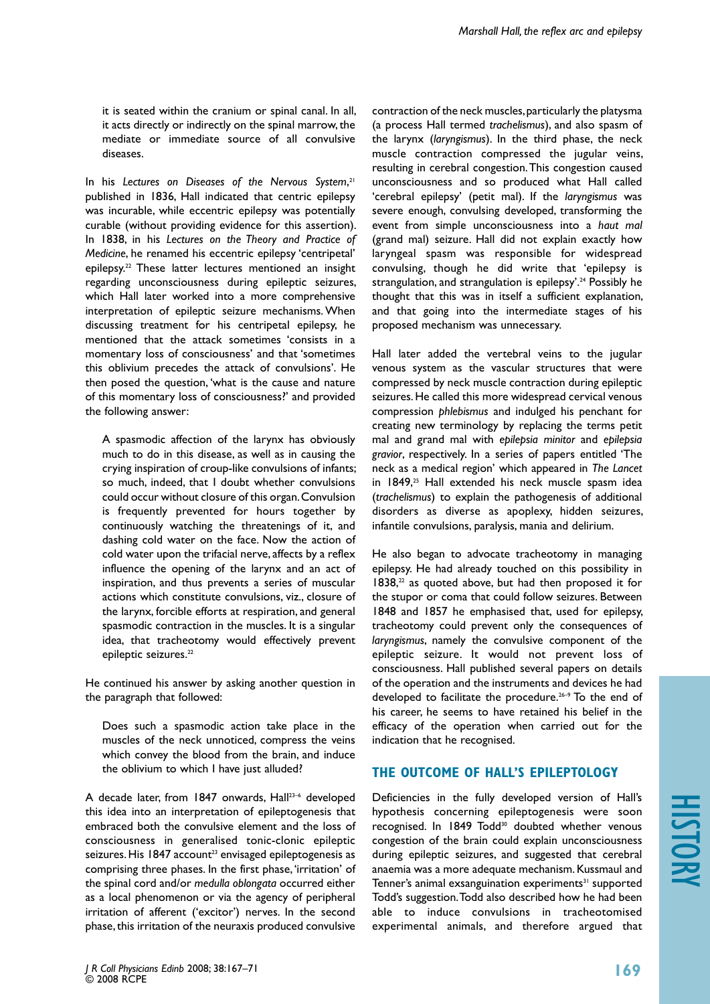it is seated within the cranium or spinal canal. In all, it acts directly or indirectly on the spinal marrow, the mediate or immediate source of all convulsive diseases.

In his Lectures on Diseases of the Nervous System,<sup>21</sup> published in 1836, Hall indicated that centric epilepsy was incurable, while eccentric epilepsy was potentially curable (without providing evidence for this assertion). In 1838, in his *Lectures on the Theory and Practice of Medicine*, he renamed his eccentric epilepsy 'centripetal' epilepsy.<sup>22</sup> These latter lectures mentioned an insight regarding unconsciousness during epileptic seizures, which Hall later worked into a more comprehensive interpretation of epileptic seizure mechanisms. When discussing treatment for his centripetal epilepsy, he mentioned that the attack sometimes 'consists in a momentary loss of consciousness' and that 'sometimes this oblivium precedes the attack of convulsions'. He then posed the question, 'what is the cause and nature of this momentary loss of consciousness?' and provided the following answer:

A spasmodic affection of the larynx has obviously much to do in this disease, as well as in causing the crying inspiration of croup-like convulsions of infants; so much, indeed, that I doubt whether convulsions could occur without closure of this organ. Convulsion is frequently prevented for hours together by continuously watching the threatenings of it, and dashing cold water on the face. Now the action of cold water upon the trifacial nerve, affects by a reflex influence the opening of the larynx and an act of inspiration, and thus prevents a series of muscular actions which constitute convulsions, viz., closure of the larynx, forcible efforts at respiration, and general spasmodic contraction in the muscles. It is a singular idea, that tracheotomy would effectively prevent epileptic seizures.<sup>22</sup>

He continued his answer by asking another question in the paragraph that followed:

Does such a spasmodic action take place in the muscles of the neck unnoticed, compress the veins which convey the blood from the brain, and induce the oblivium to which I have just alluded?

A decade later, from 1847 onwards, Hall<sup>23-6</sup> developed this idea into an interpretation of epileptogenesis that embraced both the convulsive element and the loss of consciousness in generalised tonic-clonic epileptic seizures. His 1847 account<sup>23</sup> envisaged epileptogenesis as comprising three phases. In the first phase, 'irritation' of the spinal cord and/or *medulla oblongata* occurred either as a local phenomenon or via the agency of peripheral irritation of afferent ('excitor') nerves. In the second phase, this irritation of the neuraxis produced convulsive

contraction of the neck muscles, particularly the platysma (a process Hall termed *trachelismus*), and also spasm of the larynx (*laryngismus*). In the third phase, the neck muscle contraction compressed the jugular veins, resulting in cerebral congestion. This congestion caused unconsciousness and so produced what Hall called 'cerebral epilepsy' (petit mal). If the *laryngismus* was severe enough, convulsing developed, transforming the event from simple unconsciousness into a *haut mal* (grand mal) seizure. Hall did not explain exactly how laryngeal spasm was responsible for widespread convulsing, though he did write that 'epilepsy is strangulation, and strangulation is epilepsy'.<sup>24</sup> Possibly he thought that this was in itself a sufficient explanation, and that going into the intermediate stages of his proposed mechanism was unnecessary.

Hall later added the vertebral veins to the jugular venous system as the vascular structures that were compressed by neck muscle contraction during epileptic seizures. He called this more widespread cervical venous compression *phlebismus* and indulged his penchant for creating new terminology by replacing the terms petit mal and grand mal with *epilepsia minitor* and *epilepsia gravior*, respectively. In a series of papers entitled 'The neck as a medical region' which appeared in *The Lancet*  in 1849,<sup>25</sup> Hall extended his neck muscle spasm idea (*trachelismus*) to explain the pathogenesis of additional disorders as diverse as apoplexy, hidden seizures, infantile convulsions, paralysis, mania and delirium.

He also began to advocate tracheotomy in managing epilepsy. He had already touched on this possibility in  $1838<sup>22</sup>$  as quoted above, but had then proposed it for the stupor or coma that could follow seizures. Between 1848 and 1857 he emphasised that, used for epilepsy, tracheotomy could prevent only the consequences of *laryngismus*, namely the convulsive component of the epileptic seizure. It would not prevent loss of consciousness. Hall published several papers on details of the operation and the instruments and devices he had developed to facilitate the procedure.26–9 To the end of his career, he seems to have retained his belief in the efficacy of the operation when carried out for the indication that he recognised.

# **The outcome of Hall's epileptology**

Deficiencies in the fully developed version of Hall's hypothesis concerning epileptogenesis were soon recognised. In 1849 Todd<sup>30</sup> doubted whether venous congestion of the brain could explain unconsciousness during epileptic seizures, and suggested that cerebral anaemia was a more adequate mechanism. Kussmaul and Tenner's animal exsanguination experiments $31$  supported Todd's suggestion. Todd also described how he had been able to induce convulsions in tracheotomised experimental animals, and therefore argued that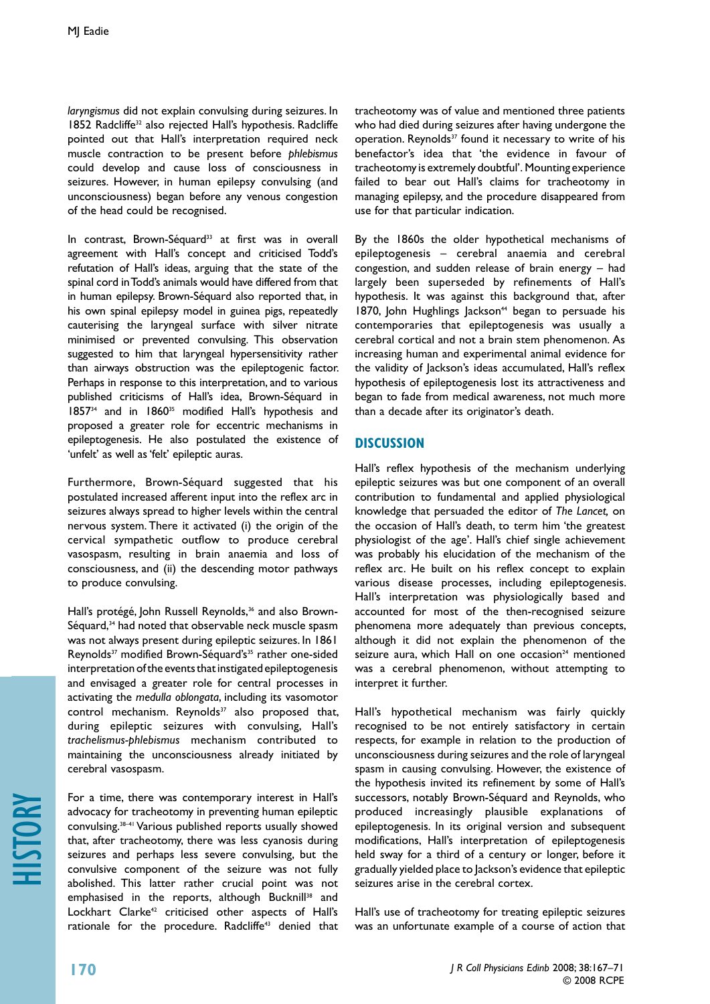*laryngismus* did not explain convulsing during seizures. In 1852 Radcliffe<sup>32</sup> also rejected Hall's hypothesis. Radcliffe pointed out that Hall's interpretation required neck muscle contraction to be present before *phlebismus* could develop and cause loss of consciousness in seizures. However, in human epilepsy convulsing (and unconsciousness) began before any venous congestion of the head could be recognised.

In contrast, Brown-Séquard<sup>33</sup> at first was in overall agreement with Hall's concept and criticised Todd's refutation of Hall's ideas, arguing that the state of the spinal cord in Todd's animals would have differed from that in human epilepsy. Brown-Séquard also reported that, in his own spinal epilepsy model in guinea pigs, repeatedly cauterising the laryngeal surface with silver nitrate minimised or prevented convulsing. This observation suggested to him that laryngeal hypersensitivity rather than airways obstruction was the epileptogenic factor. Perhaps in response to this interpretation, and to various published criticisms of Hall's idea, Brown-Séquard in 1857<sup>34</sup> and in 1860<sup>35</sup> modified Hall's hypothesis and proposed a greater role for eccentric mechanisms in epileptogenesis. He also postulated the existence of 'unfelt' as well as 'felt' epileptic auras.

Furthermore, Brown-Séquard suggested that his postulated increased afferent input into the reflex arc in seizures always spread to higher levels within the central nervous system. There it activated (i) the origin of the cervical sympathetic outflow to produce cerebral vasospasm, resulting in brain anaemia and loss of consciousness, and (ii) the descending motor pathways to produce convulsing.

Hall's protégé, John Russell Reynolds,<sup>36</sup> and also Brown-Séquard,<sup>34</sup> had noted that observable neck muscle spasm was not always present during epileptic seizures. In 1861 Reynolds<sup>37</sup> modified Brown-Séquard's<sup>35</sup> rather one-sided interpretation of the events that instigated epileptogenesis and envisaged a greater role for central processes in activating the *medulla oblongata*, including its vasomotor control mechanism. Reynolds $37$  also proposed that, during epileptic seizures with convulsing, Hall's *trachelismus-phlebismus* mechanism contributed to maintaining the unconsciousness already initiated by cerebral vasospasm.

For a time, there was contemporary interest in Hall's advocacy for tracheotomy in preventing human epileptic convulsing.38–41 Various published reports usually showed that, after tracheotomy, there was less cyanosis during seizures and perhaps less severe convulsing, but the convulsive component of the seizure was not fully abolished. This latter rather crucial point was not emphasised in the reports, although Bucknill<sup>38</sup> and Lockhart Clarke<sup>42</sup> criticised other aspects of Hall's rationale for the procedure. Radcliffe<sup>43</sup> denied that

tracheotomy was of value and mentioned three patients who had died during seizures after having undergone the operation. Reynolds<sup>37</sup> found it necessary to write of his benefactor's idea that 'the evidence in favour of tracheotomy is extremely doubtful'. Mounting experience failed to bear out Hall's claims for tracheotomy in managing epilepsy, and the procedure disappeared from use for that particular indication.

By the 1860s the older hypothetical mechanisms of epileptogenesis – cerebral anaemia and cerebral congestion, and sudden release of brain energy – had largely been superseded by refinements of Hall's hypothesis. It was against this background that, after 1870, John Hughlings Jackson<sup>44</sup> began to persuade his contemporaries that epileptogenesis was usually a cerebral cortical and not a brain stem phenomenon. As increasing human and experimental animal evidence for the validity of Jackson's ideas accumulated, Hall's reflex hypothesis of epileptogenesis lost its attractiveness and began to fade from medical awareness, not much more than a decade after its originator's death.

## **Discussion**

Hall's reflex hypothesis of the mechanism underlying epileptic seizures was but one component of an overall contribution to fundamental and applied physiological knowledge that persuaded the editor of *The Lancet,* on the occasion of Hall's death, to term him 'the greatest physiologist of the age'. Hall's chief single achievement was probably his elucidation of the mechanism of the reflex arc. He built on his reflex concept to explain various disease processes, including epileptogenesis. Hall's interpretation was physiologically based and accounted for most of the then-recognised seizure phenomena more adequately than previous concepts, although it did not explain the phenomenon of the seizure aura, which Hall on one occasion $24$  mentioned was a cerebral phenomenon, without attempting to interpret it further.

Hall's hypothetical mechanism was fairly quickly recognised to be not entirely satisfactory in certain respects, for example in relation to the production of unconsciousness during seizures and the role of laryngeal spasm in causing convulsing. However, the existence of the hypothesis invited its refinement by some of Hall's successors, notably Brown-Séquard and Reynolds, who produced increasingly plausible explanations of epileptogenesis. In its original version and subsequent modifications, Hall's interpretation of epileptogenesis held sway for a third of a century or longer, before it gradually yielded place to Jackson's evidence that epileptic seizures arise in the cerebral cortex.

Hall's use of tracheotomy for treating epileptic seizures was an unfortunate example of a course of action that